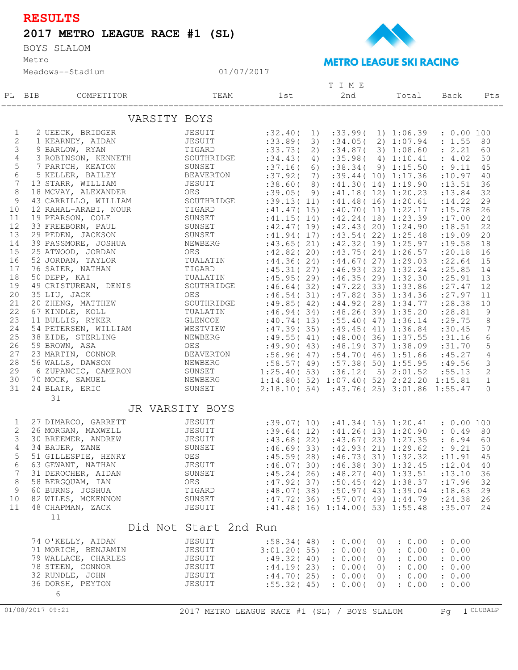## **RESULTS**

## **2017 METRO LEAGUE RACE #1 (SL)**

Metro BOYS SLALOM





## 01/07/2017

|                                                                  |        |                      |                   |                       |  |             |    |    | T I M E  |           |                                            |            |                |
|------------------------------------------------------------------|--------|----------------------|-------------------|-----------------------|--|-------------|----|----|----------|-----------|--------------------------------------------|------------|----------------|
|                                                                  | PL BIB | COMPETITOR           |                   | TEAM                  |  | 1st         |    |    | 2nd      |           | Total                                      | Back       | Pts            |
|                                                                  |        | ===================  | ================= |                       |  |             |    |    |          |           |                                            |            |                |
| VARSITY BOYS                                                     |        |                      |                   |                       |  |             |    |    |          |           |                                            |            |                |
| $\mathbf{1}$                                                     |        | 2 UEECK, BRIDGER     |                   | JESUIT                |  | :32.40(     |    | 1) | : 33.99( |           | 1) 1:06.39                                 | : 0.00 100 |                |
| $\overline{c}$                                                   |        | 1 KEARNEY, AIDAN     |                   | JESUIT                |  | :33.89(     | 3) |    |          |           | :34.05(2)1:07.94                           | : 1.55 80  |                |
| 3                                                                |        | 9 BARLOW, RYAN       |                   | TIGARD                |  | : 33.73(    | 2) |    |          |           | :34.87(3)1:08.60                           | : 2.21     | 60             |
| 4                                                                |        | 3 ROBINSON, KENNETH  |                   | SOUTHRIDGE            |  | :34.43(     | 4) |    |          |           | :35.98(4)1:10.41                           | : 4.02     | 50             |
| 5                                                                |        | 7 PARTCH, KEATON     |                   | SUNSET                |  | :37.16(     |    | 6) |          |           | :38.34(9)1:15.50                           | : 9.11     | 45             |
| 6                                                                |        | 5 KELLER, BAILEY     |                   | BEAVERTON             |  | :37.92(     | 7) |    |          |           | :39.44(10)1:17.36                          | : 10.97    | 40             |
| 7                                                                |        | 13 STARR, WILLIAM    |                   | JESUIT                |  | :38.60(8)   |    |    |          |           | :41.30(14)1:19.90                          | : 13.51    | 36             |
| 8                                                                |        | 18 MCVAY, ALEXANDER  |                   | OES                   |  | :39.05(9)   |    |    |          |           | :41.18(12)1:20.23                          | : 13.84    | 32             |
| 9                                                                |        | 43 CARRILLO, WILLIAM |                   | SOUTHRIDGE            |  | :39.13(11)  |    |    |          |           | :41.48(16)1:20.61                          | : 14.22    | 29             |
| 10                                                               |        | 12 RAHAL-ARABI, NOUR |                   | TIGARD                |  | :41.47(15)  |    |    |          |           | :40.70(11)1:22.17                          | : 15.78    | 26             |
| 11                                                               |        | 19 PEARSON, COLE     |                   | SUNSET                |  | :41.15(14)  |    |    |          |           | :42.24(18)1:23.39                          | : 17.00    | 24             |
| 12                                                               |        | 33 FREEBORN, PAUL    |                   | SUNSET                |  |             |    |    |          |           | $:42.47(19)$ $:42.43(20)$ $1:24.90$        | : 18.51    | 22             |
| 13                                                               |        | 29 PEDEN, JACKSON    |                   | SUNSET                |  |             |    |    |          |           | $:41.94(17)$ $:43.54(22)$ $1:25.48$        | : 19.09    | 20             |
| 14                                                               |        | 39 PASSMORE, JOSHUA  |                   | NEWBERG               |  | :43.65(21)  |    |    |          |           | :42.32(19)1:25.97                          | : 19.58    | 18             |
| 15                                                               |        | 25 ATWOOD, JORDAN    |                   | OES                   |  | :42.82(20)  |    |    |          |           | :43.75(24)1:26.57                          | : 20.18    | 16             |
| 16                                                               |        | 52 JORDAN, TAYLOR    |                   | TUALATIN              |  | :44.36(24)  |    |    |          |           | :44.67(27)1:29.03                          | : 22.64    | 15             |
| 17                                                               |        | 76 SAIER, NATHAN     |                   | TIGARD                |  | :45.31(27)  |    |    |          |           | :46.93(32)1:32.24                          | : 25.85    | 14             |
| 18                                                               |        | 50 DEPP, KAI         |                   | TUALATIN              |  | :45.95(29)  |    |    |          |           | :46.35(29)1:32.30                          | : 25.91 13 |                |
| 19                                                               |        | 49 CRISTUREAN, DENIS |                   | SOUTHRIDGE            |  |             |    |    |          |           | $:46.64(32)$ $:47.22(33)$ $1:33.86$        | : 27.47 12 |                |
| 20                                                               |        | 35 LIU, JACK         |                   | OES                   |  | :46.54(31)  |    |    |          |           | :47.82(35)1:34.36                          | : 27.97    | 11             |
| 21                                                               |        | 20 ZHENG, MATTHEW    |                   | SOUTHRIDGE            |  | :49.85(42)  |    |    |          |           | :44.92(28)1:34.77                          | : 28.38    | 10             |
| 22                                                               |        | 67 KINDLE, KOLL      |                   | TUALATIN              |  | :46.94(34)  |    |    |          |           | :48.26(39)1:35.20                          | : 28.81    | 9              |
| 23                                                               |        | 11 BULLIS, RYKER     |                   | GLENCOE               |  | :40.74(13)  |    |    |          |           | :55.40(47)1:36.14                          | : 29.75    | 8              |
| 24                                                               |        | 54 PETERSEN, WILLIAM |                   | WESTVIEW              |  | :47.39(35)  |    |    |          |           | :49.45(41)1:36.84                          | :30.45     | $\overline{7}$ |
| 25                                                               |        | 38 EIDE, STERLING    |                   | NEWBERG               |  | :49.55(41)  |    |    |          |           | :48.00(36)1:37.55                          | :31.16     | 6              |
| 26                                                               |        | 59 BROWN, ASA        |                   | OES                   |  |             |    |    |          |           | $:49.90(43)$ $:48.19(37)$ $1:38.09$        | :31.70     | 5              |
| 27                                                               |        | 23 MARTIN, CONNOR    |                   | BEAVERTON             |  |             |    |    |          |           | $:56.96(47)$ $:54.70(46)$ 1:51.66          | :45.27     | $\overline{4}$ |
| 28                                                               |        | 56 WALLS, DAWSON     |                   | NEWBERG               |  |             |    |    |          |           | $:58.57(49)$ $:57.38(50)$ $1:55.95$        | :49.56     | $\mathsf 3$    |
| 29                                                               |        | 6 ZUPANCIC, CAMERON  |                   | SUNSET                |  |             |    |    |          |           | $1:25.40(53)$ $:36.12(5)$ $2:01.52$        | :55.13     | 2              |
| 30                                                               |        | 70 MOCK, SAMUEL      |                   | NEWBERG               |  |             |    |    |          |           | 1:14.80(52)1:07.40(52)2:22.201:15.81       |            | 1              |
| 31                                                               |        | 24 BLAIR, ERIC       |                   | SUNSET                |  |             |    |    |          |           | 2:18.10 ( 54) :43.76 ( 25) 3:01.86 1:55.47 |            | $\Omega$       |
|                                                                  |        | 31                   |                   |                       |  |             |    |    |          |           |                                            |            |                |
|                                                                  |        |                      | JR VARSITY BOYS   |                       |  |             |    |    |          |           |                                            |            |                |
| $\mathbf 1$                                                      |        | 27 DIMARCO, GARRETT  |                   | JESUIT                |  |             |    |    |          |           | $:39.07(10)$ $:41.34(15)$ $1:20.41$        | : 0.00 100 |                |
| $\mathbf{2}$                                                     |        | 26 MORGAN, MAXWELL   |                   | JESUIT                |  |             |    |    |          |           | $:39.64(12)$ $:41.26(13)$ $1:20.90$        | : 0.49 80  |                |
| 3                                                                |        | 30 BREEMER, ANDREW   |                   | JESUIT                |  | :43.68(22)  |    |    |          |           | :43.67(23)1:27.35                          | : 6.94     | 60             |
| 4                                                                |        | 34 BAUER, ZANE       |                   | SUNSET                |  | :46.69(33)  |    |    |          |           | :42.93(21)1:29.62                          | : 9.21     | 50             |
| 5                                                                |        | 51 GILLESPIE, HENRY  |                   | OES                   |  | :45.59(28)  |    |    |          |           | :46.73(31)1:32.32                          | : 11.91    | 45             |
| 6                                                                |        | 63 GEWANT, NATHAN    |                   | JESUIT                |  | :46.07(30)  |    |    |          |           | :46.38(30)1:32.45                          | :12.04     | 40             |
| 7                                                                |        | 31 DEROCHER, AIDAN   |                   | SUNSET                |  | :45.24(26)  |    |    |          |           | :48.27(40)1:33.51                          | : 13.10    | 36             |
| 8                                                                |        | 58 BERGQUAM, IAN     |                   | OES                   |  | :47.92(37)  |    |    |          |           | :50.45(42)1:38.37                          | : 17.96    | 32             |
| 9                                                                |        | 60 BURNS, JOSHUA     |                   | TIGARD                |  | :48.07(38)  |    |    |          |           | :50.97(43)1:39.04                          | : 18.63    | 29             |
| 10                                                               |        | 82 WILES, MCKENNON   |                   | SUNSET                |  | :47.72(36)  |    |    |          |           | :57.07(49)1:44.79                          | : 24.38    | 26             |
| 11                                                               |        | 48 CHAPMAN, ZACK     |                   | JESUIT                |  |             |    |    |          |           | :41.48(16)1:14.00(53)1:55.48               | :35.07     | 24             |
|                                                                  |        | 11                   |                   |                       |  |             |    |    |          |           |                                            |            |                |
|                                                                  |        |                      |                   | Did Not Start 2nd Run |  |             |    |    |          |           |                                            |            |                |
|                                                                  |        |                      |                   |                       |  |             |    |    |          |           |                                            |            |                |
|                                                                  |        | 74 O'KELLY, AIDAN    |                   | JESUIT                |  | :58.34(48)  |    |    | : 0.00(  | $\cup$ )  | : 0.00                                     | : 0.00     |                |
|                                                                  |        | 71 MORICH, BENJAMIN  |                   | JESUIT                |  | 3:01.20(55) |    |    | : 0.00(  | $\circ$ ) | : 0.00                                     | : 0.00     |                |
|                                                                  |        | 79 WALLACE, CHARLES  |                   | JESUIT                |  | :49.32(40)  |    |    | : 0.00(  | 0)        | : 0.00                                     | : 0.00     |                |
|                                                                  |        | 78 STEEN, CONNOR     |                   | JESUIT                |  | :44.19(23)  |    |    | : 0.00(  | $\circ$ ) | : 0.00                                     | : 0.00     |                |
|                                                                  |        | 32 RUNDLE, JOHN      |                   | JESUIT                |  | :44.70(25)  |    |    | : 0.00(  | 0)        | : 0.00                                     | : 0.00     |                |
|                                                                  |        | 36 DORSH, PEYTON     |                   | JESUIT                |  | :55.32(45)  |    |    | : 0.00(  | (0)       | : 0.00                                     | : 0.00     |                |
| 6                                                                |        |                      |                   |                       |  |             |    |    |          |           |                                            |            |                |
| 01/08/2017 09:21<br>2017 METRO LEAGUE RACE #1 (SL) / BOYS SLALOM |        |                      |                   |                       |  |             |    |    | Pq       | 1 CLUBALP |                                            |            |                |
|                                                                  |        |                      |                   |                       |  |             |    |    |          |           |                                            |            |                |